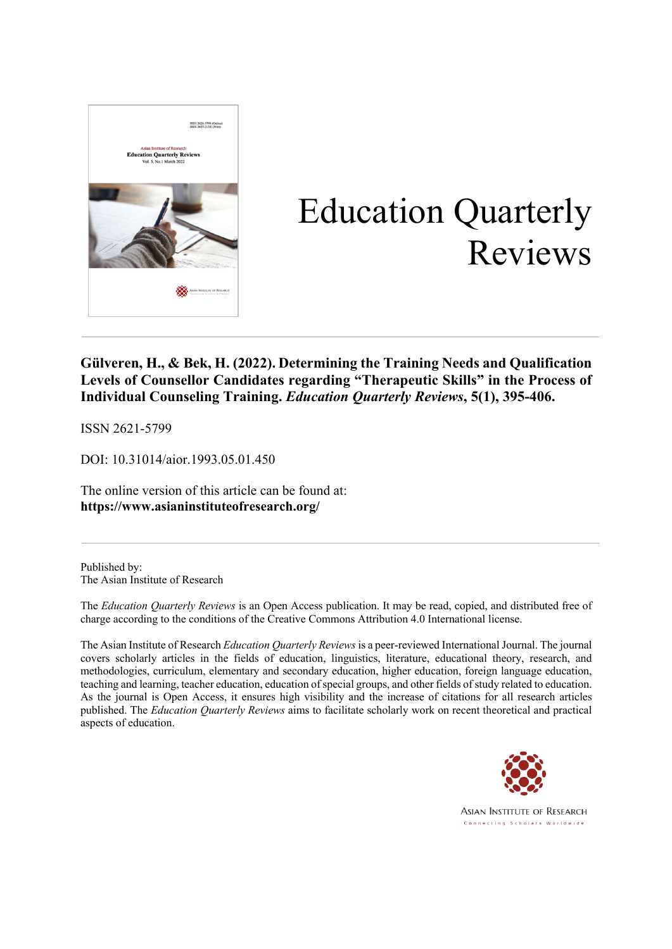

# Education Quarterly Reviews

**Gülveren, H., & Bek, H. (2022). Determining the Training Needs and Qualification Levels of Counsellor Candidates regarding "Therapeutic Skills" in the Process of Individual Counseling Training.** *Education Quarterly Reviews***, 5(1), 395-406.**

ISSN 2621-5799

DOI: 10.31014/aior.1993.05.01.450

The online version of this article can be found at: **https://www.asianinstituteofresearch.org/**

Published by: The Asian Institute of Research

The *Education Quarterly Reviews* is an Open Access publication. It may be read, copied, and distributed free of charge according to the conditions of the Creative Commons Attribution 4.0 International license.

The Asian Institute of Research *Education Quarterly Reviews* is a peer-reviewed International Journal. The journal covers scholarly articles in the fields of education, linguistics, literature, educational theory, research, and methodologies, curriculum, elementary and secondary education, higher education, foreign language education, teaching and learning, teacher education, education of special groups, and other fields of study related to education. As the journal is Open Access, it ensures high visibility and the increase of citations for all research articles published. The *Education Quarterly Reviews* aims to facilitate scholarly work on recent theoretical and practical aspects of education.



**ASIAN INSTITUTE OF RESEARCH** Connecting Scholars Worldwide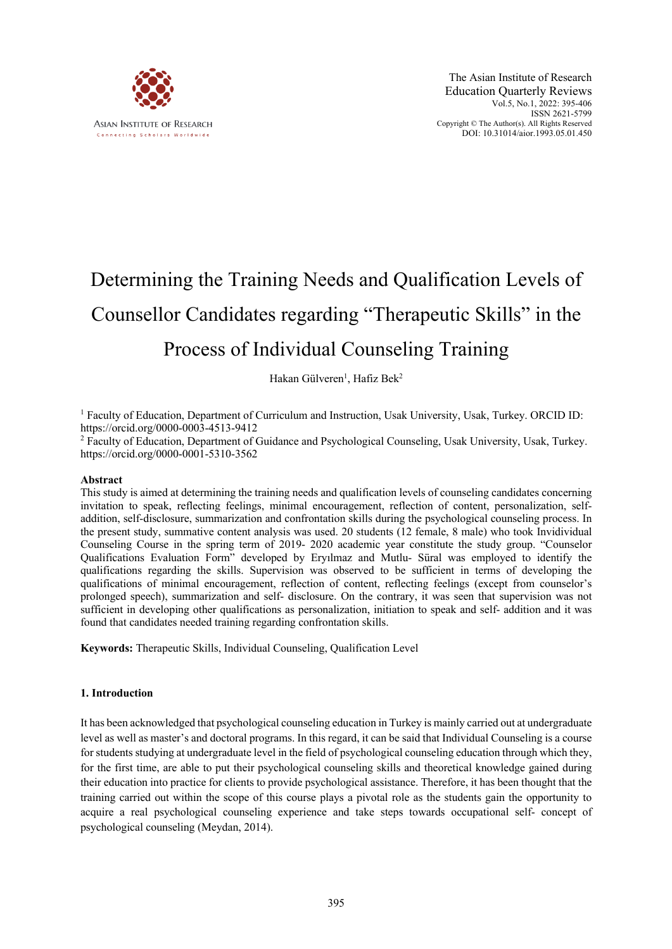

# Determining the Training Needs and Qualification Levels of Counsellor Candidates regarding "Therapeutic Skills" in the Process of Individual Counseling Training

Hakan Gülveren<sup>1</sup>, Hafiz Bek<sup>2</sup>

<sup>1</sup> Faculty of Education, Department of Curriculum and Instruction, Usak University, Usak, Turkey. ORCID ID: https://orcid.org/0000-0003-4513-9412

<sup>2</sup> Faculty of Education, Department of Guidance and Psychological Counseling, Usak University, Usak, Turkey. https://orcid.org/0000-0001-5310-3562

# **Abstract**

This study is aimed at determining the training needs and qualification levels of counseling candidates concerning invitation to speak, reflecting feelings, minimal encouragement, reflection of content, personalization, selfaddition, self-disclosure, summarization and confrontation skills during the psychological counseling process. In the present study, summative content analysis was used. 20 students (12 female, 8 male) who took Invidividual Counseling Course in the spring term of 2019- 2020 academic year constitute the study group. "Counselor Qualifications Evaluation Form" developed by Eryılmaz and Mutlu- Süral was employed to identify the qualifications regarding the skills. Supervision was observed to be sufficient in terms of developing the qualifications of minimal encouragement, reflection of content, reflecting feelings (except from counselor's prolonged speech), summarization and self- disclosure. On the contrary, it was seen that supervision was not sufficient in developing other qualifications as personalization, initiation to speak and self- addition and it was found that candidates needed training regarding confrontation skills.

**Keywords:** Therapeutic Skills, Individual Counseling, Qualification Level

# **1. Introduction**

It has been acknowledged that psychological counseling education in Turkey is mainly carried out at undergraduate level as well as master's and doctoral programs. In this regard, it can be said that Individual Counseling is a course for students studying at undergraduate level in the field of psychological counseling education through which they, for the first time, are able to put their psychological counseling skills and theoretical knowledge gained during their education into practice for clients to provide psychological assistance. Therefore, it has been thought that the training carried out within the scope of this course plays a pivotal role as the students gain the opportunity to acquire a real psychological counseling experience and take steps towards occupational self- concept of psychological counseling (Meydan, 2014).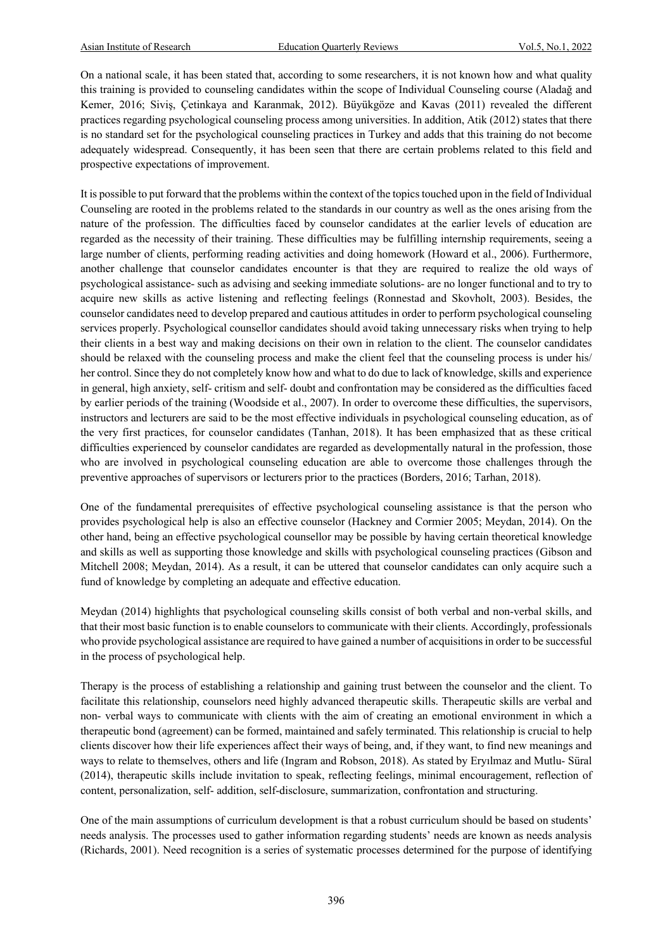On a national scale, it has been stated that, according to some researchers, it is not known how and what quality this training is provided to counseling candidates within the scope of Individual Counseling course (Aladağ and Kemer, 2016; Siviş, Çetinkaya and Karanmak, 2012). Büyükgöze and Kavas (2011) revealed the different practices regarding psychological counseling process among universities. In addition, Atik (2012) states that there is no standard set for the psychological counseling practices in Turkey and adds that this training do not become adequately widespread. Consequently, it has been seen that there are certain problems related to this field and prospective expectations of improvement.

It is possible to put forward that the problems within the context of the topics touched upon in the field of Individual Counseling are rooted in the problems related to the standards in our country as well as the ones arising from the nature of the profession. The difficulties faced by counselor candidates at the earlier levels of education are regarded as the necessity of their training. These difficulties may be fulfilling internship requirements, seeing a large number of clients, performing reading activities and doing homework (Howard et al., 2006). Furthermore, another challenge that counselor candidates encounter is that they are required to realize the old ways of psychological assistance- such as advising and seeking immediate solutions- are no longer functional and to try to acquire new skills as active listening and reflecting feelings (Ronnestad and Skovholt, 2003). Besides, the counselor candidates need to develop prepared and cautious attitudes in order to perform psychological counseling services properly. Psychological counsellor candidates should avoid taking unnecessary risks when trying to help their clients in a best way and making decisions on their own in relation to the client. The counselor candidates should be relaxed with the counseling process and make the client feel that the counseling process is under his/ her control. Since they do not completely know how and what to do due to lack of knowledge, skills and experience in general, high anxiety, self- critism and self- doubt and confrontation may be considered as the difficulties faced by earlier periods of the training (Woodside et al., 2007). In order to overcome these difficulties, the supervisors, instructors and lecturers are said to be the most effective individuals in psychological counseling education, as of the very first practices, for counselor candidates (Tanhan, 2018). It has been emphasized that as these critical difficulties experienced by counselor candidates are regarded as developmentally natural in the profession, those who are involved in psychological counseling education are able to overcome those challenges through the preventive approaches of supervisors or lecturers prior to the practices (Borders, 2016; Tarhan, 2018).

One of the fundamental prerequisites of effective psychological counseling assistance is that the person who provides psychological help is also an effective counselor (Hackney and Cormier 2005; Meydan, 2014). On the other hand, being an effective psychological counsellor may be possible by having certain theoretical knowledge and skills as well as supporting those knowledge and skills with psychological counseling practices (Gibson and Mitchell 2008; Meydan, 2014). As a result, it can be uttered that counselor candidates can only acquire such a fund of knowledge by completing an adequate and effective education.

Meydan (2014) highlights that psychological counseling skills consist of both verbal and non-verbal skills, and that their most basic function is to enable counselors to communicate with their clients. Accordingly, professionals who provide psychological assistance are required to have gained a number of acquisitions in order to be successful in the process of psychological help.

Therapy is the process of establishing a relationship and gaining trust between the counselor and the client. To facilitate this relationship, counselors need highly advanced therapeutic skills. Therapeutic skills are verbal and non- verbal ways to communicate with clients with the aim of creating an emotional environment in which a therapeutic bond (agreement) can be formed, maintained and safely terminated. This relationship is crucial to help clients discover how their life experiences affect their ways of being, and, if they want, to find new meanings and ways to relate to themselves, others and life (Ingram and Robson, 2018). As stated by Eryılmaz and Mutlu- Süral (2014), therapeutic skills include invitation to speak, reflecting feelings, minimal encouragement, reflection of content, personalization, self- addition, self-disclosure, summarization, confrontation and structuring.

One of the main assumptions of curriculum development is that a robust curriculum should be based on students' needs analysis. The processes used to gather information regarding students' needs are known as needs analysis (Richards, 2001). Need recognition is a series of systematic processes determined for the purpose of identifying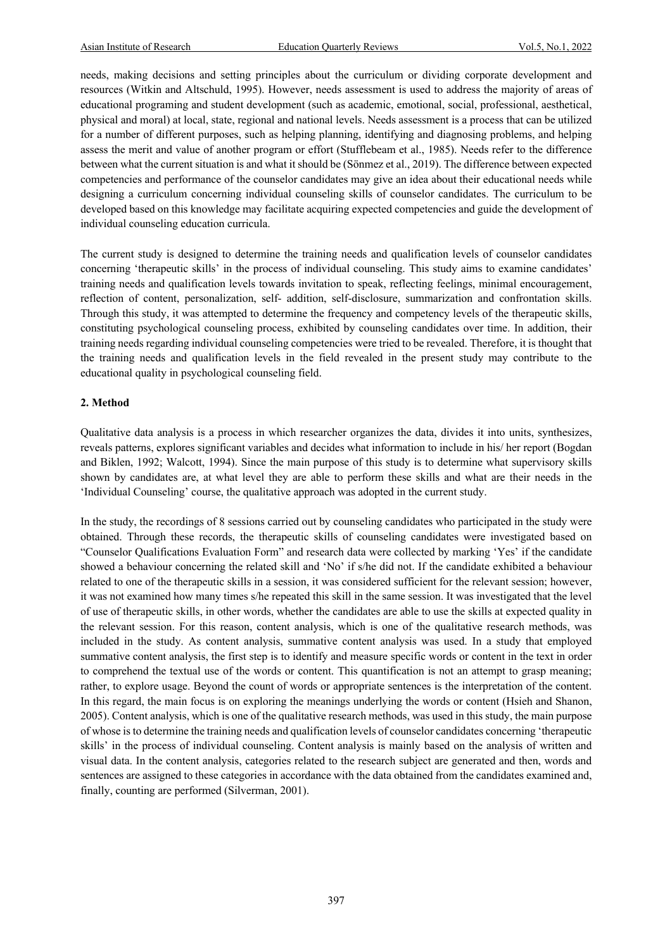needs, making decisions and setting principles about the curriculum or dividing corporate development and resources (Witkin and Altschuld, 1995). However, needs assessment is used to address the majority of areas of educational programing and student development (such as academic, emotional, social, professional, aesthetical, physical and moral) at local, state, regional and national levels. Needs assessment is a process that can be utilized for a number of different purposes, such as helping planning, identifying and diagnosing problems, and helping assess the merit and value of another program or effort (Stufflebeam et al., 1985). Needs refer to the difference between what the current situation is and what it should be (Sönmez et al., 2019). The difference between expected competencies and performance of the counselor candidates may give an idea about their educational needs while designing a curriculum concerning individual counseling skills of counselor candidates. The curriculum to be developed based on this knowledge may facilitate acquiring expected competencies and guide the development of individual counseling education curricula.

The current study is designed to determine the training needs and qualification levels of counselor candidates concerning 'therapeutic skills' in the process of individual counseling. This study aims to examine candidates' training needs and qualification levels towards invitation to speak, reflecting feelings, minimal encouragement, reflection of content, personalization, self- addition, self-disclosure, summarization and confrontation skills. Through this study, it was attempted to determine the frequency and competency levels of the therapeutic skills, constituting psychological counseling process, exhibited by counseling candidates over time. In addition, their training needs regarding individual counseling competencies were tried to be revealed. Therefore, it is thought that the training needs and qualification levels in the field revealed in the present study may contribute to the educational quality in psychological counseling field.

# **2. Method**

Qualitative data analysis is a process in which researcher organizes the data, divides it into units, synthesizes, reveals patterns, explores significant variables and decides what information to include in his/ her report (Bogdan and Biklen, 1992; Walcott, 1994). Since the main purpose of this study is to determine what supervisory skills shown by candidates are, at what level they are able to perform these skills and what are their needs in the 'Individual Counseling' course, the qualitative approach was adopted in the current study.

In the study, the recordings of 8 sessions carried out by counseling candidates who participated in the study were obtained. Through these records, the therapeutic skills of counseling candidates were investigated based on "Counselor Qualifications Evaluation Form" and research data were collected by marking 'Yes' if the candidate showed a behaviour concerning the related skill and 'No' if s/he did not. If the candidate exhibited a behaviour related to one of the therapeutic skills in a session, it was considered sufficient for the relevant session; however, it was not examined how many times s/he repeated this skill in the same session. It was investigated that the level of use of therapeutic skills, in other words, whether the candidates are able to use the skills at expected quality in the relevant session. For this reason, content analysis, which is one of the qualitative research methods, was included in the study. As content analysis, summative content analysis was used. In a study that employed summative content analysis, the first step is to identify and measure specific words or content in the text in order to comprehend the textual use of the words or content. This quantification is not an attempt to grasp meaning; rather, to explore usage. Beyond the count of words or appropriate sentences is the interpretation of the content. In this regard, the main focus is on exploring the meanings underlying the words or content (Hsieh and Shanon, 2005). Content analysis, which is one of the qualitative research methods, was used in this study, the main purpose of whose is to determine the training needs and qualification levels of counselor candidates concerning 'therapeutic skills' in the process of individual counseling. Content analysis is mainly based on the analysis of written and visual data. In the content analysis, categories related to the research subject are generated and then, words and sentences are assigned to these categories in accordance with the data obtained from the candidates examined and, finally, counting are performed (Silverman, 2001).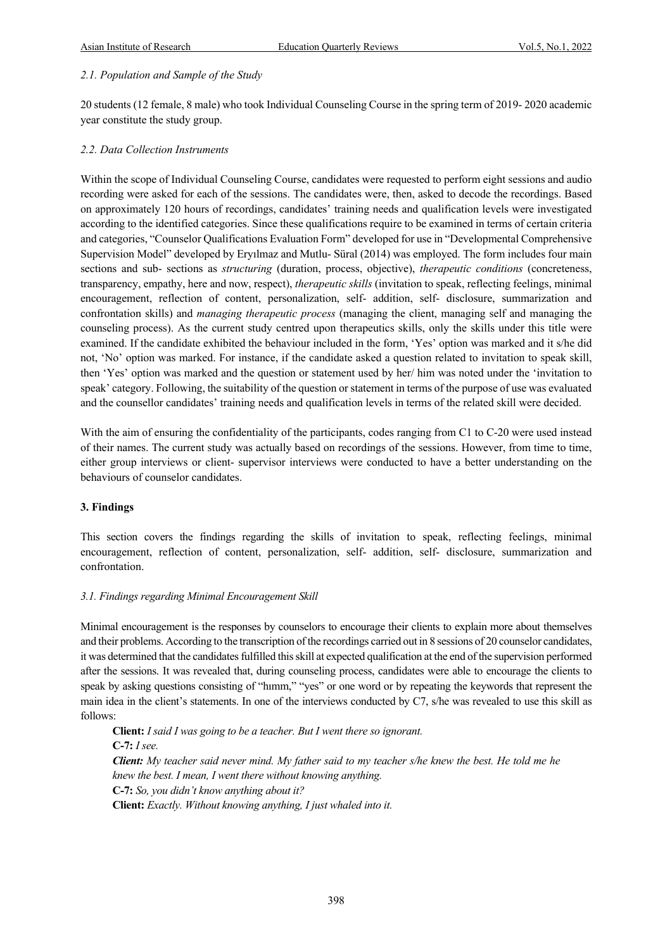# *2.1. Population and Sample of the Study*

20 students (12 female, 8 male) who took Individual Counseling Course in the spring term of 2019- 2020 academic year constitute the study group.

# *2.2. Data Collection Instruments*

Within the scope of Individual Counseling Course, candidates were requested to perform eight sessions and audio recording were asked for each of the sessions. The candidates were, then, asked to decode the recordings. Based on approximately 120 hours of recordings, candidates' training needs and qualification levels were investigated according to the identified categories. Since these qualifications require to be examined in terms of certain criteria and categories, "Counselor Qualifications Evaluation Form" developed for use in "Developmental Comprehensive Supervision Model" developed by Eryılmaz and Mutlu- Süral (2014) was employed. The form includes four main sections and sub- sections as *structuring* (duration, process, objective), *therapeutic conditions* (concreteness, transparency, empathy, here and now, respect), *therapeutic skills* (invitation to speak, reflecting feelings, minimal encouragement, reflection of content, personalization, self- addition, self- disclosure, summarization and confrontation skills) and *managing therapeutic process* (managing the client, managing self and managing the counseling process). As the current study centred upon therapeutics skills, only the skills under this title were examined. If the candidate exhibited the behaviour included in the form, 'Yes' option was marked and it s/he did not, 'No' option was marked. For instance, if the candidate asked a question related to invitation to speak skill, then 'Yes' option was marked and the question or statement used by her/ him was noted under the 'invitation to speak' category. Following, the suitability of the question or statement in terms of the purpose of use was evaluated and the counsellor candidates' training needs and qualification levels in terms of the related skill were decided.

With the aim of ensuring the confidentiality of the participants, codes ranging from C1 to C-20 were used instead of their names. The current study was actually based on recordings of the sessions. However, from time to time, either group interviews or client- supervisor interviews were conducted to have a better understanding on the behaviours of counselor candidates.

# **3. Findings**

This section covers the findings regarding the skills of invitation to speak, reflecting feelings, minimal encouragement, reflection of content, personalization, self- addition, self- disclosure, summarization and confrontation.

# *3.1. Findings regarding Minimal Encouragement Skill*

Minimal encouragement is the responses by counselors to encourage their clients to explain more about themselves and their problems. According to the transcription of the recordings carried out in 8 sessions of 20 counselor candidates, it was determined that the candidates fulfilled this skill at expected qualification at the end of the supervision performed after the sessions. It was revealed that, during counseling process, candidates were able to encourage the clients to speak by asking questions consisting of "himm," "yes" or one word or by repeating the keywords that represent the main idea in the client's statements. In one of the interviews conducted by C7, s/he was revealed to use this skill as follows:

**Client:** *I said I was going to be a teacher. But I went there so ignorant.* **C-7:** *I see. Client: My teacher said never mind. My father said to my teacher s/he knew the best. He told me he knew the best. I mean, I went there without knowing anything.*  **C-7:** *So, you didn't know anything about it?* **Client:** *Exactly. Without knowing anything, I just whaled into it.*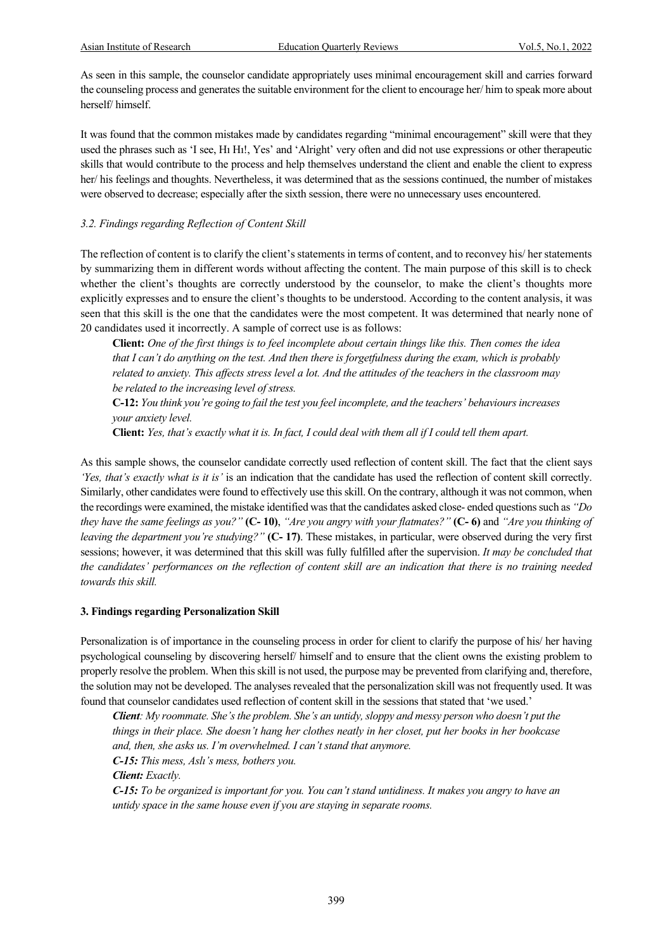As seen in this sample, the counselor candidate appropriately uses minimal encouragement skill and carries forward the counseling process and generates the suitable environment for the client to encourage her/ him to speak more about herself/ himself.

It was found that the common mistakes made by candidates regarding "minimal encouragement" skill were that they used the phrases such as 'I see, Hı Hı!, Yes' and 'Alright' very often and did not use expressions or other therapeutic skills that would contribute to the process and help themselves understand the client and enable the client to express her/ his feelings and thoughts. Nevertheless, it was determined that as the sessions continued, the number of mistakes were observed to decrease; especially after the sixth session, there were no unnecessary uses encountered.

# *3.2. Findings regarding Reflection of Content Skill*

The reflection of content is to clarify the client's statements in terms of content, and to reconvey his/ her statements by summarizing them in different words without affecting the content. The main purpose of this skill is to check whether the client's thoughts are correctly understood by the counselor, to make the client's thoughts more explicitly expresses and to ensure the client's thoughts to be understood. According to the content analysis, it was seen that this skill is the one that the candidates were the most competent. It was determined that nearly none of 20 candidates used it incorrectly. A sample of correct use is as follows:

**Client:** *One of the first things is to feel incomplete about certain things like this. Then comes the idea that I can't do anything on the test. And then there is forgetfulness during the exam, which is probably related to anxiety. This affects stress level a lot. And the attitudes of the teachers in the classroom may be related to the increasing level of stress.* 

**C-12:** *You think you're going to fail the test you feel incomplete, and the teachers' behaviours increases your anxiety level.* 

**Client:** *Yes, that's exactly what it is. In fact, I could deal with them all if I could tell them apart.* 

As this sample shows, the counselor candidate correctly used reflection of content skill. The fact that the client says *'Yes, that's exactly what is it is'* is an indication that the candidate has used the reflection of content skill correctly. Similarly, other candidates were found to effectively use this skill. On the contrary, although it was not common, when the recordings were examined, the mistake identified was that the candidates asked close- ended questions such as *"Do they have the same feelings as you?"* **(C- 10)**, *"Are you angry with your flatmates?"* **(C- 6)** and *"Are you thinking of leaving the department you're studying?"* **(C- 17)**. These mistakes, in particular, were observed during the very first sessions; however, it was determined that this skill was fully fulfilled after the supervision. *It may be concluded that the candidates' performances on the reflection of content skill are an indication that there is no training needed towards this skill.*

# **3. Findings regarding Personalization Skill**

Personalization is of importance in the counseling process in order for client to clarify the purpose of his/ her having psychological counseling by discovering herself/ himself and to ensure that the client owns the existing problem to properly resolve the problem. When this skill is not used, the purpose may be prevented from clarifying and, therefore, the solution may not be developed. The analyses revealed that the personalization skill was not frequently used. It was found that counselor candidates used reflection of content skill in the sessions that stated that 'we used.'

*Client: My roommate. She's the problem. She's an untidy, sloppy and messy person who doesn't put the things in their place. She doesn't hang her clothes neatly in her closet, put her books in her bookcase and, then, she asks us. I'm overwhelmed. I can't stand that anymore. C-15: This mess, Aslı's mess, bothers you. Client: Exactly. C-15: To be organized is important for you. You can't stand untidiness. It makes you angry to have an untidy space in the same house even if you are staying in separate rooms.*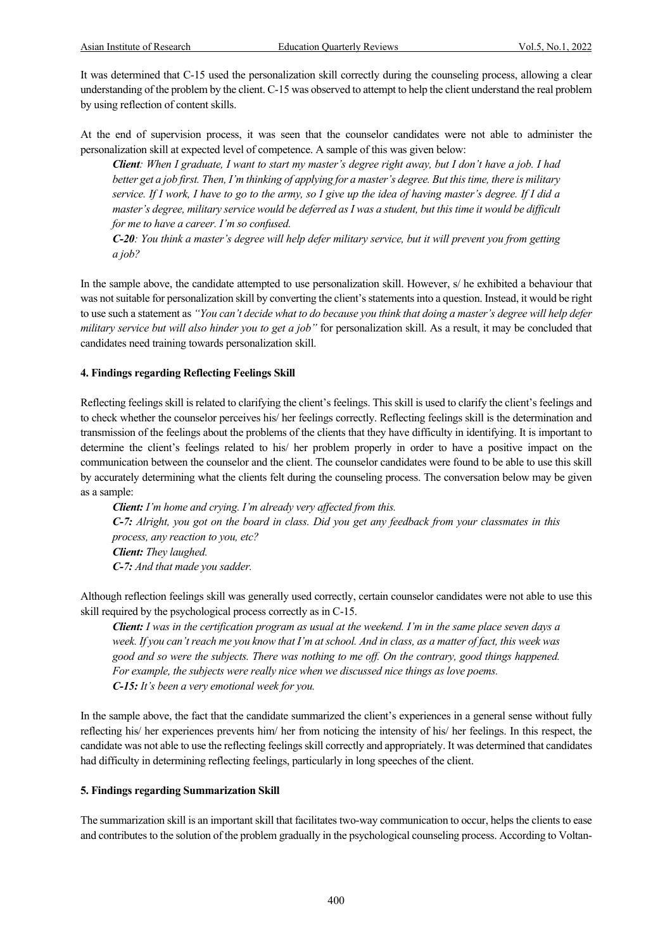It was determined that C-15 used the personalization skill correctly during the counseling process, allowing a clear understanding of the problem by the client. C-15 was observed to attempt to help the client understand the real problem by using reflection of content skills.

At the end of supervision process, it was seen that the counselor candidates were not able to administer the personalization skill at expected level of competence. A sample of this was given below:

*Client: When I graduate, I want to start my master's degree right away, but I don't have a job. I had better get a job first. Then, I'm thinking of applying for a master's degree. But this time, there is military service. If I work, I have to go to the army, so I give up the idea of having master's degree. If I did a master's degree, military service would be deferred as I was a student, but this time it would be difficult for me to have a career. I'm so confused.* 

*C-20: You think a master's degree will help defer military service, but it will prevent you from getting a job?*

In the sample above, the candidate attempted to use personalization skill. However, s/ he exhibited a behaviour that was not suitable for personalization skill by converting the client's statements into a question. Instead, it would be right to use such a statement as *"You can't decide what to do because you think that doing a master's degree will help defer military service but will also hinder you to get a job"* for personalization skill. As a result, it may be concluded that candidates need training towards personalization skill.

# **4. Findings regarding Reflecting Feelings Skill**

Reflecting feelings skill is related to clarifying the client's feelings. This skill is used to clarify the client's feelings and to check whether the counselor perceives his/ her feelings correctly. Reflecting feelings skill is the determination and transmission of the feelings about the problems of the clients that they have difficulty in identifying. It is important to determine the client's feelings related to his/ her problem properly in order to have a positive impact on the communication between the counselor and the client. The counselor candidates were found to be able to use this skill by accurately determining what the clients felt during the counseling process. The conversation below may be given as a sample:

*Client: I'm home and crying. I'm already very affected from this. C-7: Alright, you got on the board in class. Did you get any feedback from your classmates in this process, any reaction to you, etc? Client: They laughed. C-7: And that made you sadder.*

Although reflection feelings skill was generally used correctly, certain counselor candidates were not able to use this skill required by the psychological process correctly as in C-15.

*Client: I was in the certification program as usual at the weekend. I'm in the same place seven days a week. If you can't reach me you know that I'm at school. And in class, as a matter of fact, this week was good and so were the subjects. There was nothing to me off. On the contrary, good things happened. For example, the subjects were really nice when we discussed nice things as love poems. C-15: It's been a very emotional week for you.*

In the sample above, the fact that the candidate summarized the client's experiences in a general sense without fully reflecting his/ her experiences prevents him/ her from noticing the intensity of his/ her feelings. In this respect, the candidate was not able to use the reflecting feelings skill correctly and appropriately. It was determined that candidates had difficulty in determining reflecting feelings, particularly in long speeches of the client.

# **5. Findings regarding Summarization Skill**

The summarization skill is an important skill that facilitates two-way communication to occur, helps the clients to ease and contributes to the solution of the problem gradually in the psychological counseling process. According to Voltan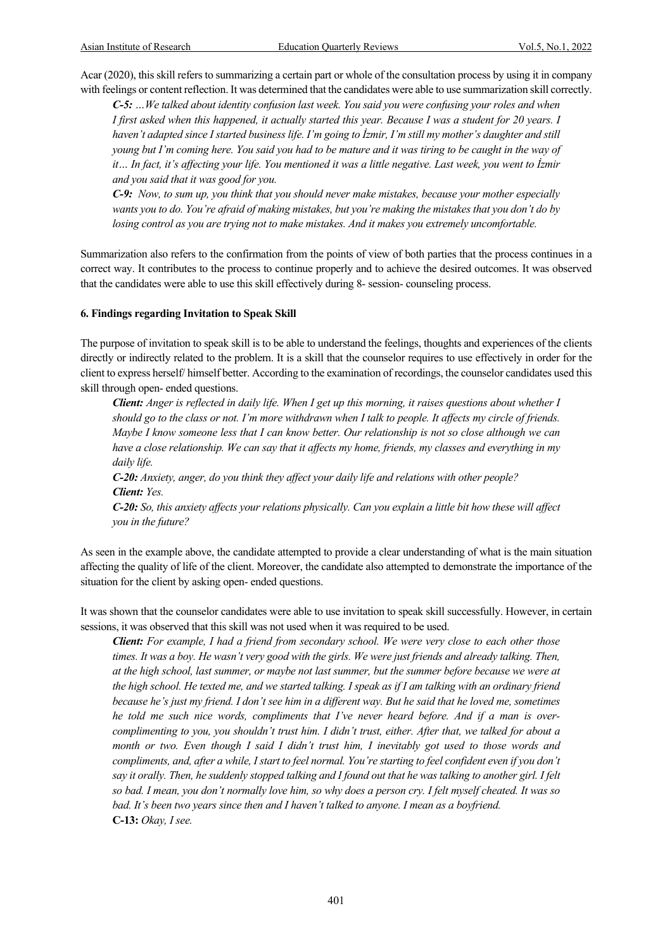Acar (2020), this skill refers to summarizing a certain part or whole of the consultation process by using it in company with feelings or content reflection. It was determined that the candidates were able to use summarization skill correctly.

*C-5: …We talked about identity confusion last week. You said you were confusing your roles and when I first asked when this happened, it actually started this year. Because I was a student for 20 years. I haven't adapted since I started business life. I'm going to <i>Izmir, I'm still my mother's daughter and still young but I'm coming here. You said you had to be mature and it was tiring to be caught in the way of it… In fact, it's affecting your life. You mentioned it was a little negative. Last week, you went to İzmir and you said that it was good for you.*

*C-9: Now, to sum up, you think that you should never make mistakes, because your mother especially wants you to do. You're afraid of making mistakes, but you're making the mistakes that you don't do by losing control as you are trying not to make mistakes. And it makes you extremely uncomfortable.* 

Summarization also refers to the confirmation from the points of view of both parties that the process continues in a correct way. It contributes to the process to continue properly and to achieve the desired outcomes. It was observed that the candidates were able to use this skill effectively during 8- session- counseling process.

# **6. Findings regarding Invitation to Speak Skill**

The purpose of invitation to speak skill is to be able to understand the feelings, thoughts and experiences of the clients directly or indirectly related to the problem. It is a skill that the counselor requires to use effectively in order for the client to express herself/ himself better. According to the examination of recordings, the counselor candidates used this skill through open- ended questions.

*Client: Anger is reflected in daily life. When I get up this morning, it raises questions about whether I should go to the class or not. I'm more withdrawn when I talk to people. It affects my circle of friends. Maybe I know someone less that I can know better. Our relationship is not so close although we can have a close relationship. We can say that it affects my home, friends, my classes and everything in my daily life.* 

*C-20: Anxiety, anger, do you think they affect your daily life and relations with other people? Client: Yes.* 

*C-20: So, this anxiety affects your relations physically. Can you explain a little bit how these will affect you in the future?* 

As seen in the example above, the candidate attempted to provide a clear understanding of what is the main situation affecting the quality of life of the client. Moreover, the candidate also attempted to demonstrate the importance of the situation for the client by asking open- ended questions.

It was shown that the counselor candidates were able to use invitation to speak skill successfully. However, in certain sessions, it was observed that this skill was not used when it was required to be used.

*Client: For example, I had a friend from secondary school. We were very close to each other those times. It was a boy. He wasn't very good with the girls. We were just friends and already talking. Then, at the high school, last summer, or maybe not last summer, but the summer before because we were at the high school. He texted me, and we started talking. I speak as if I am talking with an ordinary friend because he's just my friend. I don't see him in a different way. But he said that he loved me, sometimes he told me such nice words, compliments that I've never heard before. And if a man is overcomplimenting to you, you shouldn't trust him. I didn't trust, either. After that, we talked for about a month or two. Even though I said I didn't trust him, I inevitably got used to those words and compliments, and, after a while, I start to feel normal. You're starting to feel confident even if you don't say it orally. Then, he suddenly stopped talking and I found out that he was talking to another girl. I felt so bad. I mean, you don't normally love him, so why does a person cry. I felt myself cheated. It was so*  bad. It's been two years since then and I haven't talked to anyone. I mean as a boyfriend. **C-13:** *Okay, I see.*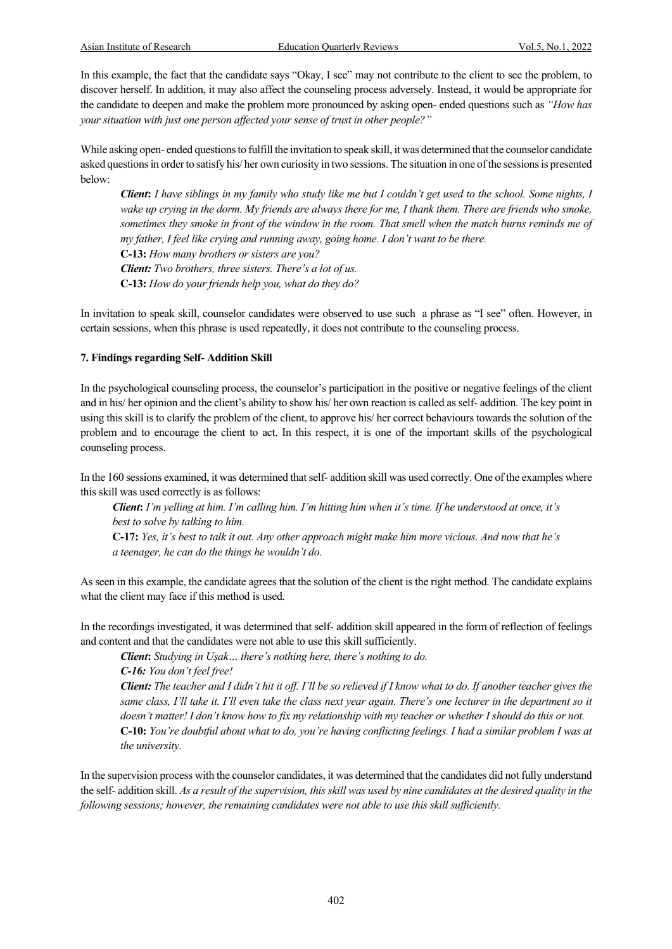In this example, the fact that the candidate says "Okay, I see" may not contribute to the client to see the problem, to discover herself. In addition, it may also affect the counseling process adversely. Instead, it would be appropriate for the candidate to deepen and make the problem more pronounced by asking open- ended questions such as *"How has your situation with just one person affected your sense of trust in other people?"*

While asking open- ended questions to fulfill the invitation to speak skill, it was determined that the counselor candidate asked questions in order to satisfy his/ her own curiosity in two sessions. The situation in one of the sessions is presented below:

*Client***:** *I have siblings in my family who study like me but I couldn't get used to the school. Some nights, I wake up crying in the dorm. My friends are always there for me, I thank them. There are friends who smoke, sometimes they smoke in front of the window in the room. That smell when the match burns reminds me of my father, I feel like crying and running away, going home. I don't want to be there.*  **C-13:** *How many brothers or sisters are you? Client: Two brothers, three sisters. There's a lot of us.* **C-13:** *How do your friends help you, what do they do?*

In invitation to speak skill, counselor candidates were observed to use such a phrase as "I see" often. However, in certain sessions, when this phrase is used repeatedly, it does not contribute to the counseling process.

# **7. Findings regarding Self- Addition Skill**

In the psychological counseling process, the counselor's participation in the positive or negative feelings of the client and in his/ her opinion and the client's ability to show his/ her own reaction is called as self- addition. The key point in using this skill is to clarify the problem of the client, to approve his/ her correct behaviours towards the solution of the problem and to encourage the client to act. In this respect, it is one of the important skills of the psychological counseling process.

In the 160 sessions examined, it was determined that self- addition skill was used correctly. One of the examples where this skill was used correctly is as follows:

*Client***:** *I'm yelling at him. I'm calling him. I'm hitting him when it's time. If he understood at once, it's best to solve by talking to him.*  **C-17:** *Yes, it's best to talk it out. Any other approach might make him more vicious. And now that he's a teenager, he can do the things he wouldn't do.* 

As seen in this example, the candidate agrees that the solution of the client is the right method. The candidate explains what the client may face if this method is used.

In the recordings investigated, it was determined that self- addition skill appeared in the form of reflection of feelings and content and that the candidates were not able to use this skill sufficiently.

*Client***:** *Studying in Uşak… there's nothing here, there's nothing to do.* 

*C-16: You don't feel free!* 

*Client: The teacher and I didn't hit it off. I'll be so relieved if I know what to do. If another teacher gives the same class, I'll take it. I'll even take the class next year again. There's one lecturer in the department so it doesn't matter! I don't know how to fix my relationship with my teacher or whether I should do this or not.*  **C-10:** *You're doubtful about what to do, you're having conflicting feelings. I had a similar problem I was at the university.* 

In the supervision process with the counselor candidates, it was determined that the candidates did not fully understand the self- addition skill. *As a result of the supervision, this skill was used by nine candidates at the desired quality in the following sessions; however, the remaining candidates were not able to use this skill sufficiently.*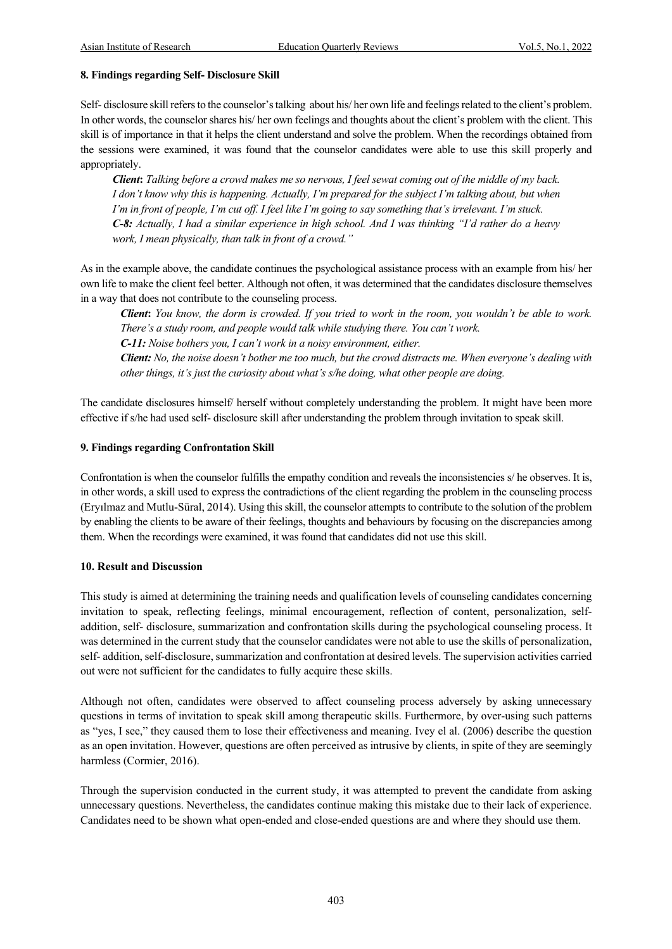# **8. Findings regarding Self- Disclosure Skill**

Self- disclosure skill refers to the counselor's talking about his/ her own life and feelings related to the client's problem. In other words, the counselor shares his/ her own feelings and thoughts about the client's problem with the client. This skill is of importance in that it helps the client understand and solve the problem. When the recordings obtained from the sessions were examined, it was found that the counselor candidates were able to use this skill properly and appropriately.

*Client***:** *Talking before a crowd makes me so nervous, I feel sewat coming out of the middle of my back. I don't know why this is happening. Actually, I'm prepared for the subject I'm talking about, but when I'm in front of people, I'm cut off. I feel like I'm going to say something that's irrelevant. I'm stuck. C-8: Actually, I had a similar experience in high school. And I was thinking "I'd rather do a heavy work, I mean physically, than talk in front of a crowd."*

As in the example above, the candidate continues the psychological assistance process with an example from his/ her own life to make the client feel better. Although not often, it was determined that the candidates disclosure themselves in a way that does not contribute to the counseling process.

*Client***:** *You know, the dorm is crowded. If you tried to work in the room, you wouldn't be able to work. There's a study room, and people would talk while studying there. You can't work. C-11: Noise bothers you, I can't work in a noisy environment, either.*

*Client: No, the noise doesn't bother me too much, but the crowd distracts me. When everyone's dealing with other things, it's just the curiosity about what's s/he doing, what other people are doing.* 

The candidate disclosures himself/ herself without completely understanding the problem. It might have been more effective if s/he had used self- disclosure skill after understanding the problem through invitation to speak skill.

# **9. Findings regarding Confrontation Skill**

Confrontation is when the counselor fulfills the empathy condition and reveals the inconsistencies s/ he observes. It is, in other words, a skill used to express the contradictions of the client regarding the problem in the counseling process (Eryılmaz and Mutlu-Süral, 2014). Using this skill, the counselor attempts to contribute to the solution of the problem by enabling the clients to be aware of their feelings, thoughts and behaviours by focusing on the discrepancies among them. When the recordings were examined, it was found that candidates did not use this skill.

# **10. Result and Discussion**

This study is aimed at determining the training needs and qualification levels of counseling candidates concerning invitation to speak, reflecting feelings, minimal encouragement, reflection of content, personalization, selfaddition, self- disclosure, summarization and confrontation skills during the psychological counseling process. It was determined in the current study that the counselor candidates were not able to use the skills of personalization, self- addition, self-disclosure, summarization and confrontation at desired levels. The supervision activities carried out were not sufficient for the candidates to fully acquire these skills.

Although not often, candidates were observed to affect counseling process adversely by asking unnecessary questions in terms of invitation to speak skill among therapeutic skills. Furthermore, by over-using such patterns as "yes, I see," they caused them to lose their effectiveness and meaning. Ivey el al. (2006) describe the question as an open invitation. However, questions are often perceived as intrusive by clients, in spite of they are seemingly harmless (Cormier, 2016).

Through the supervision conducted in the current study, it was attempted to prevent the candidate from asking unnecessary questions. Nevertheless, the candidates continue making this mistake due to their lack of experience. Candidates need to be shown what open-ended and close-ended questions are and where they should use them.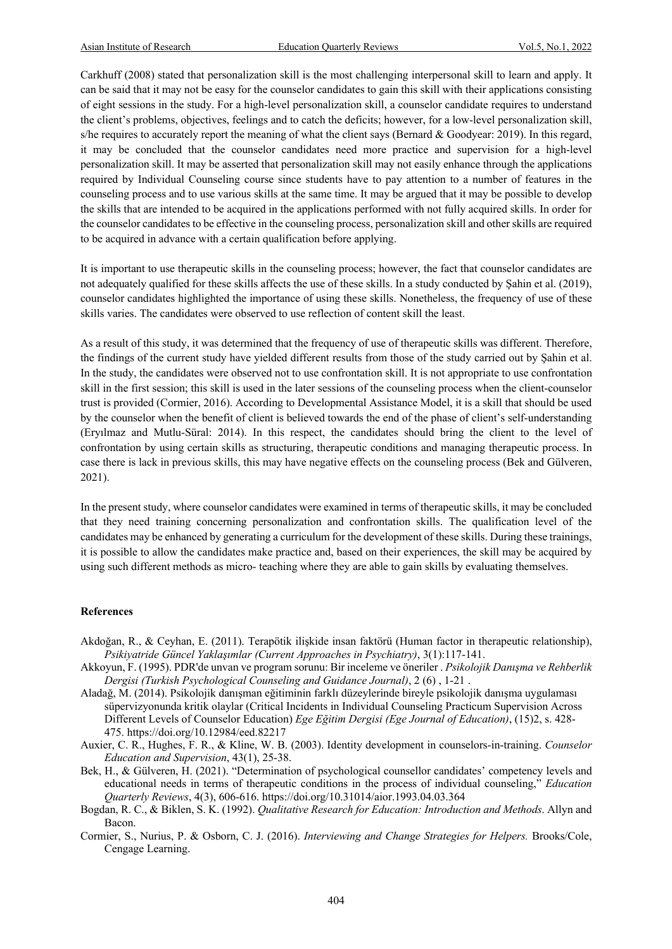Carkhuff (2008) stated that personalization skill is the most challenging interpersonal skill to learn and apply. It can be said that it may not be easy for the counselor candidates to gain this skill with their applications consisting of eight sessions in the study. For a high-level personalization skill, a counselor candidate requires to understand the client's problems, objectives, feelings and to catch the deficits; however, for a low-level personalization skill, s/he requires to accurately report the meaning of what the client says (Bernard & Goodyear: 2019). In this regard, it may be concluded that the counselor candidates need more practice and supervision for a high-level personalization skill. It may be asserted that personalization skill may not easily enhance through the applications required by Individual Counseling course since students have to pay attention to a number of features in the counseling process and to use various skills at the same time. It may be argued that it may be possible to develop the skills that are intended to be acquired in the applications performed with not fully acquired skills. In order for the counselor candidates to be effective in the counseling process, personalization skill and other skills are required to be acquired in advance with a certain qualification before applying.

It is important to use therapeutic skills in the counseling process; however, the fact that counselor candidates are not adequately qualified for these skills affects the use of these skills. In a study conducted by Şahin et al. (2019), counselor candidates highlighted the importance of using these skills. Nonetheless, the frequency of use of these skills varies. The candidates were observed to use reflection of content skill the least.

As a result of this study, it was determined that the frequency of use of therapeutic skills was different. Therefore, the findings of the current study have yielded different results from those of the study carried out by Şahin et al. In the study, the candidates were observed not to use confrontation skill. It is not appropriate to use confrontation skill in the first session; this skill is used in the later sessions of the counseling process when the client-counselor trust is provided (Cormier, 2016). According to Developmental Assistance Model, it is a skill that should be used by the counselor when the benefit of client is believed towards the end of the phase of client's self-understanding (Eryılmaz and Mutlu-Süral: 2014). In this respect, the candidates should bring the client to the level of confrontation by using certain skills as structuring, therapeutic conditions and managing therapeutic process. In case there is lack in previous skills, this may have negative effects on the counseling process (Bek and Gülveren, 2021).

In the present study, where counselor candidates were examined in terms of therapeutic skills, it may be concluded that they need training concerning personalization and confrontation skills. The qualification level of the candidates may be enhanced by generating a curriculum for the development of these skills. During these trainings, it is possible to allow the candidates make practice and, based on their experiences, the skill may be acquired by using such different methods as micro- teaching where they are able to gain skills by evaluating themselves.

#### **References**

- Akdoğan, R., & Ceyhan, E. (2011). Terapötik ilişkide insan faktörü (Human factor in therapeutic relationship), *Psikiyatride Güncel Yaklaşımlar (Current Approaches in Psychiatry)*, 3(1):117-141.
- Akkoyun, F. (1995). PDR'de unvan ve program sorunu: Bir inceleme ve öneriler . *Psikolojik Danışma ve Rehberlik Dergisi (Turkish Psychological Counseling and Guidance Journal)*, 2 (6) , 1-21 .
- Aladağ, M. (2014). Psikolojik danışman eğitiminin farklı düzeylerinde bireyle psikolojik danışma uygulaması süpervizyonunda kritik olaylar (Critical Incidents in Individual Counseling Practicum Supervision Across Different Levels of Counselor Education) *Ege Eğitim Dergisi (Ege Journal of Education)*, (15)2, s. 428- 475. https://doi.org/10.12984/eed.82217
- Auxier, C. R., Hughes, F. R., & Kline, W. B. (2003). Identity development in counselors‐in‐training. *Counselor Education and Supervision*, 43(1), 25-38.
- Bek, H., & Gülveren, H. (2021). "Determination of psychological counsellor candidates' competency levels and educational needs in terms of therapeutic conditions in the process of individual counseling," *Education Quarterly Reviews*, 4(3), 606-616. https://doi.org/10.31014/aior.1993.04.03.364
- Bogdan, R. C., & Biklen, S. K. (1992). *Qualitative Research for Education: Introduction and Methods*. Allyn and Bacon.
- Cormier, S., Nurius, P. & Osborn, C. J. (2016). *Interviewing and Change Strategies for Helpers.* Brooks/Cole, Cengage Learning.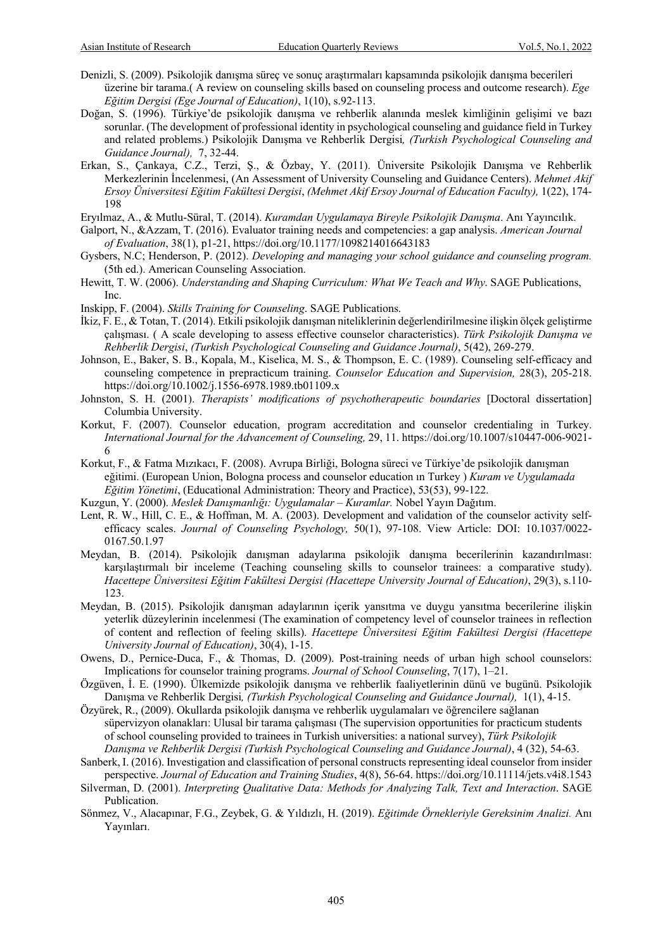- Denizli, S. (2009). Psikolojik danışma süreç ve sonuç araştırmaları kapsamında psikolojik danışma becerileri üzerine bir tarama.( A review on counseling skills based on counseling process and outcome research). *Ege Eğitim Dergisi (Ege Journal of Education)*, 1(10), s.92-113.
- Doğan, S. (1996). Türkiye'de psikolojik danışma ve rehberlik alanında meslek kimliğinin gelişimi ve bazı sorunlar. (The development of professional identity in psychological counseling and guidance field in Turkey and related problems.) Psikolojik Danışma ve Rehberlik Dergisi*, (Turkish Psychological Counseling and Guidance Journal),* 7, 32-44.
- Erkan, S., Çankaya, C.Z., Terzi, Ş., & Özbay, Y. (2011). Üniversite Psikolojik Danışma ve Rehberlik Merkezlerinin İncelenmesi, (An Assessment of University Counseling and Guidance Centers). *Mehmet Akif Ersoy Üniversitesi Eğitim Fakültesi Dergisi*, *(Mehmet Akif Ersoy Journal of Education Faculty),* 1(22), 174- 198
- Eryılmaz, A., & Mutlu-Süral, T. (2014). *Kuramdan Uygulamaya Bireyle Psikolojik Danışma*. Anı Yayıncılık.
- Galport, N., &Azzam, T. (2016). Evaluator training needs and competencies: a gap analysis. *American Journal of Evaluation*, 38(1), p1-21, https://doi.org/10.1177/1098214016643183
- Gysbers, N.C; Henderson, P. (2012). *Developing and managing your school guidance and counseling program.* (5th ed.). American Counseling Association.
- Hewitt, T. W. (2006). *Understanding and Shaping Curriculum: What We Teach and Why*. SAGE Publications, Inc.
- Inskipp, F. (2004). *Skills Training for Counseling*. SAGE Publications.
- İkiz, F. E., & Totan, T. (2014). Etkili psikolojik danışman niteliklerinin değerlendirilmesine ilişkin ölçek geliştirme çalışması. ( A scale developing to assess effective counselor characteristics). *Türk Psikolojik Danışma ve Rehberlik Dergisi*, *(Turkish Psychological Counseling and Guidance Journal)*, 5(42), 269-279.
- Johnson, E., Baker, S. B., Kopala, M., Kiselica, M. S., & Thompson, E. C. (1989). Counseling self‐efficacy and counseling competence in prepracticum training. *Counselor Education and Supervision,* 28(3), 205-218. https://doi.org/10.1002/j.1556-6978.1989.tb01109.x
- Johnston, S. H. (2001). *Therapists' modifications of psychotherapeutic boundaries* [Doctoral dissertation] Columbia University.
- Korkut, F. (2007). Counselor education, program accreditation and counselor credentialing in Turkey. *International Journal for the Advancement of Counseling,* 29, 11. https://doi.org/10.1007/s10447-006-9021- 6
- Korkut, F., & Fatma Mızıkacı, F. (2008). Avrupa Birliği, Bologna süreci ve Türkiye'de psikolojik danışman eğitimi. (European Union, Bologna process and counselor education ın Turkey ) *Kuram ve Uygulamada Eğitim Yönetimi*, (Educational Administration: Theory and Practice), 53(53), 99-122.
- Kuzgun, Y. (2000). *Meslek Danışmanlığı: Uygulamalar – Kuramlar.* Nobel Yayın Dağıtım.
- Lent, R. W., Hill, C. E., & Hoffman, M. A. (2003). Development and validation of the counselor activity selfefficacy scales. *Journal of Counseling Psychology,* 50(1), 97-108. View Article: DOI: 10.1037/0022- 0167.50.1.97
- Meydan, B. (2014). Psikolojik danışman adaylarına psikolojik danışma becerilerinin kazandırılması: karşılaştırmalı bir inceleme (Teaching counseling skills to counselor trainees: a comparative study). *Hacettepe Üniversitesi Eğitim Fakültesi Dergisi (Hacettepe University Journal of Education)*, 29(3), s.110- 123.
- Meydan, B. (2015). Psikolojik danışman adaylarının içerik yansıtma ve duygu yansıtma becerilerine ilişkin yeterlik düzeylerinin incelenmesi (The examination of competency level of counselor trainees in reflection of content and reflection of feeling skills). *Hacettepe Üniversitesi Eğitim Fakültesi Dergisi (Hacettepe University Journal of Education)*, 30(4), 1-15.
- Owens, D., Pernice-Duca, F., & Thomas, D. (2009). Post-training needs of urban high school counselors: Implications for counselor training programs. *Journal of School Counseling*, 7(17), 1–21.
- Özgüven, İ. E. (1990). Ülkemizde psikolojik danışma ve rehberlik faaliyetlerinin dünü ve bugünü. Psikolojik Danışma ve Rehberlik Dergisi*, (Turkish Psychological Counseling and Guidance Journal),* 1(1), 4-15.
- Özyürek, R., (2009). Okullarda psikolojik danışma ve rehberlik uygulamaları ve öğrencilere sağlanan süpervizyon olanakları: Ulusal bir tarama çalışması (The supervision opportunities for practicum students of school counseling provided to trainees in Turkish universities: a national survey), *Türk Psikolojik Danışma ve Rehberlik Dergisi (Turkish Psychological Counseling and Guidance Journal)*, 4 (32), 54-63.
- Sanberk, I. (2016). Investigation and classification of personal constructs representing ideal counselor from insider perspective. *Journal of Education and Training Studies*, 4(8), 56-64. https://doi.org/10.11114/jets.v4i8.1543
- Silverman, D. (2001). *Interpreting Qualitative Data: Methods for Analyzing Talk, Text and Interaction*. SAGE Publication.
- Sönmez, V., Alacapınar, F.G., Zeybek, G. & Yıldızlı, H. (2019). *Eğitimde Örnekleriyle Gereksinim Analizi.* Anı Yayınları.